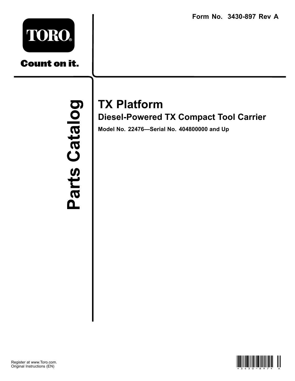**Form No. 3430-897 Rev A**



**Count on it.** 

Parts Catalog Parts Catal

## **TX Platform**

**Diesel-Powered TX Compact Tool Carrier**

**Model No. 22476—Serial No. 404800000 and Up**

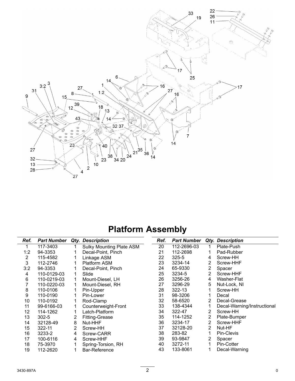

## **Platform Assembly**

| Ref. | <b>Part Number</b> |   | Qty. Description                | Ref. | <b>Part Number</b> |                       | <b>Qty. Description</b>     |
|------|--------------------|---|---------------------------------|------|--------------------|-----------------------|-----------------------------|
| 1    | 117-3403           |   | <b>Sulky Mounting Plate ASM</b> | 20   | 112-2696-03        | 1                     | Plate-Push                  |
| 1:2  | 94-3353            |   | Decal-Point, Pinch              | 21   | 112-2698           |                       | Pad-Rubber                  |
| 2    | 115-4582           |   | Linkage ASM                     | 22   | 325-5              | 4                     | Screw-HH                    |
| 3    | 112-2746           |   | Platform ASM                    | 23   | 3234-14            | 2                     | Screw-HHF                   |
| 3:2  | 94-3353            |   | Decal-Point, Pinch              | 24   | 65-9330            | $\overline{2}$        | Spacer                      |
| 4    | 110-0129-03        |   | Slide                           | 25   | 3234-5             | $\overline{2}$        | Screw-HHF                   |
| 6    | 110-0219-03        |   | Mount-Diesel, LH                | 26   | 3256-26            | 4                     | Washer-Flat                 |
| 7    | 110-0220-03        |   | Mount-Diesel, RH                | 27   | 3296-29            | 5                     | Nut-Lock, NI                |
| 8    | 110-0106           |   | Pin-Upper                       | 28   | 322-13             |                       | Screw-HH                    |
| 9    | 110-0190           |   | Pin-Lower                       | 31   | 98-3206            |                       | Decal                       |
| 10   | 110-0192           |   | Rod-Clamp                       | 32   | 58-6520            | $\overline{2}$        | Decal-Grease                |
| 11   | 99-6166-03         |   | Counterweight-Front             | 33   | 138-4344           |                       | Decal-Warning/Instructional |
| 12   | 114-1262           |   | Latch-Platform                  | 34   | 322-47             | 2                     | Screw-HH                    |
| 13   | $302 - 5$          | 2 | <b>Fitting-Grease</b>           | 35   | 114-1252           | 2                     | Plate-Bumper                |
| 14   | 32128-49           | 8 | Nut-HHF                         | 36   | 3234-17            | 2                     | Screw-HHF                   |
| 15   | 322-11             | 2 | Screw-HH                        | 37   | 32128-20           | $\overline{2}$        | Nut-HF                      |
| 16   | 3233-2             | 4 | Screw-CARR                      | 38   | 283-82             |                       | Pin-Clevis                  |
| 17   | 100-6116           | 4 | Screw-HHF                       | 39   | 93-9847            | $\mathbf{2}^{\prime}$ | Spacer                      |
| 18   | 75-3970            |   | Spring-Torsion, RH              | 40   | 3272-11            | 1                     | Pin-Cotter                  |
| 19   | 112-2620           |   | Bar-Reference                   | 43   | 133-8061           |                       | Decal-Warning               |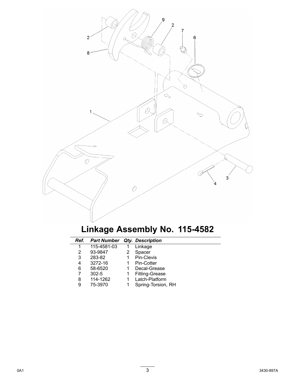

## **Linkage Assembly No. 115-4582**

| Ref. | <b>Part Number</b> | <b>Qty. Description</b> |
|------|--------------------|-------------------------|
|      | 115-4581-03        | Linkage                 |
| 2    | 93-9847            | Spacer                  |
| 3    | 283-82             | Pin-Clevis              |
| 4    | 3272-16            | Pin-Cotter              |
| 6    | 58-6520            | Decal-Grease            |
| 7    | $302 - 5$          | <b>Fitting-Grease</b>   |
| 8    | 114-1262           | Latch-Platform          |
| 9    | 75-3970            | Spring-Torsion, RH      |